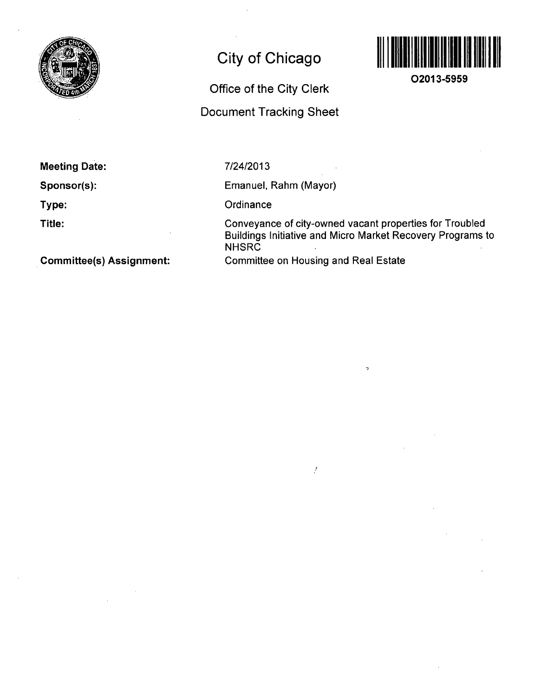

# **City of Chicago**

## **Office of the City Clerk**

## **Document Tracking Sheet**



**O2013-5959** 

**Meeting Date:** 

**Sponsor(s):** 

**Type:** 

**Title:** 

7/24/2013

Emanuel, Rahm (Mayor)

**Ordinance** 

Conveyance of city-owned vacant properties for Troubled Buildings Initiative and Micro Market Recovery Programs to **NHSRC** Committee on Housing and Real Estate

 $\overline{a}$ 

 $\mathcal{I}$ 

**Committee(s) Assignment:**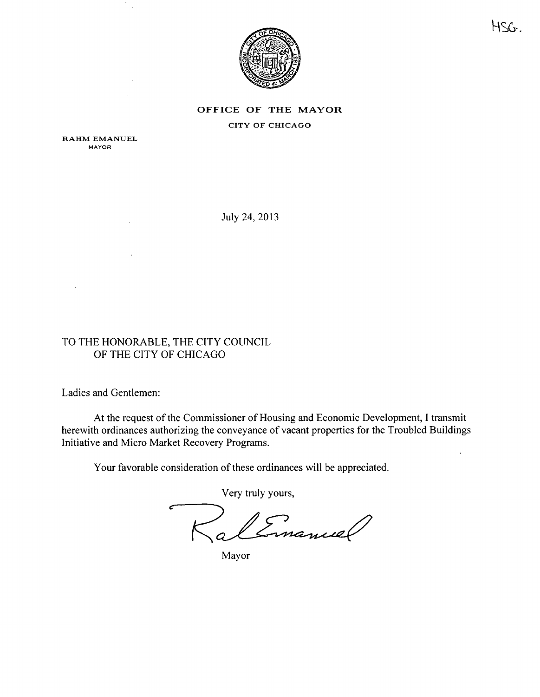

OFFICE OF THE MAYOR CITY OF CHICAGO

RAHM EMANUEL MAYOR

July 24, 2013

## TO THE HONORABLE, THE CITY COUNCIL OF THE CITY OF CHICAGO

Ladies and Gentlemen:

 $\overline{1}$ 

At the request of the Commissioner of Housing and Economic Development, I transmit herewith ordinances authorizing the conveyance of vacant properties for the Troubled Buildings Initiative and Micro Market Recovery Programs.

Your favorable consideration of these ordinances will be appreciated.

Very truly yours. Emanuel

Mayor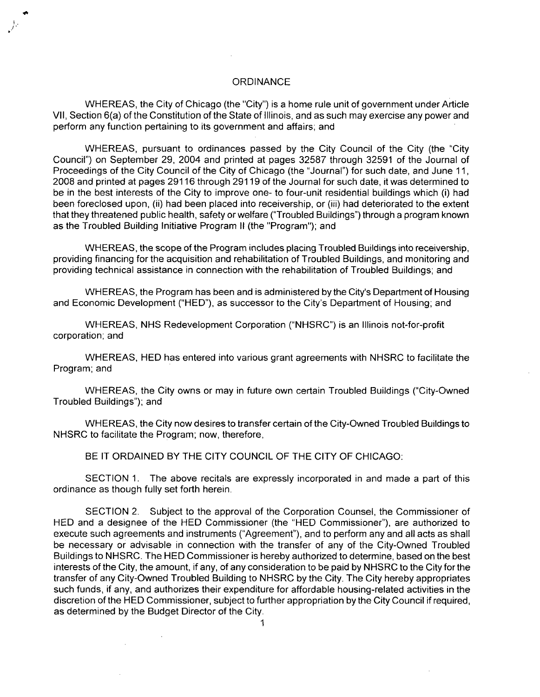#### **ORDINANCE**

WHEREAS, the City of Chicago (the "City") is a home rule unit of government under Article VII, Section 6(a) of the Constitution of the State of Illinois, and as such may exercise any power and perform any function pertaining to its government and affairs; and

WHEREAS, pursuant to ordinances passed by the City Council of the City (the 'City Council") on September 29, 2004 and printed at pages 32587 through 32591 of the Journal of Proceedings of the City Council of the City of Chicago (the "Journal") for such date, and June 11, 2008 and printed at pages 29116 through 29119 of the Journal for such date, it was determined to be in the best interests of the City to improve one- to four-unit residential buildings which (i) had been foreclosed upon, (ii) had been placed into receivership, or (iii) had deteriorated to the extent that they threatened public health, safety or welfare ("Troubled Buildings") through a program known as the Troubled Building Initiative Program II (the "Program"); and

WHEREAS, the scope of the Program includes placing Troubled Buildings into receivership, providing financing for the acquisition and rehabilitation of Troubled Buildings, and monitoring and providing technical assistance in connection with the rehabilitation of Troubled Buildings; and

WHEREAS, the Program has been and is administered by the City's Department of Housing and Economic Development ("HED"), as successor to the City's Department of Housing; and

WHEREAS, NHS Redevelopment Corporation ("NHSRC") is an Illinois not-for-profit corporation; and

WHEREAS, HED has entered into various grant agreements with NHSRC to facilitate the Program; and

WHEREAS, the City owns or may in future own certain Troubled Buildings ("City-Owned Troubled Buildings"); and

WHEREAS, the City now desires to transfer certain ofthe City-Owned Troubled Buildings to NHSRC to facilitate the Program; now, therefore,

BE IT ORDAINED BY THE CITY COUNCIL OF THE CITY OF CHICAGO:

SECTION 1. The above recitals are expressly incorporated in and made a part of this ordinance as though fully set forth herein.

SECTION 2. Subject to the approval of the Corporation Counsel, the Commissioner of HED and a designee of the HED Commissioner (the "HED Commissioner"), are authorized to execute such agreements and instruments ("Agreement"), and to perform any and all acts as shall be necessary or advisable in connection with the transfer of any of the City-Owned Troubled Buildings to NHSRC. The HED Commissioner is hereby authorized to determine, based on the best interests of the City, the amount, if any, of any consideration to be paid by NHSRC to the City for the transfer of any City-Owned Troubled Building to NHSRC by the City. The City hereby appropriates such funds, if any, and authorizes their expenditure for affordable housing-related activities in the discretion ofthe HED Commissioner, subject to further appropriation bythe City Council if required, as determined by the Budget Director of the City.

 $\mathcal{L}$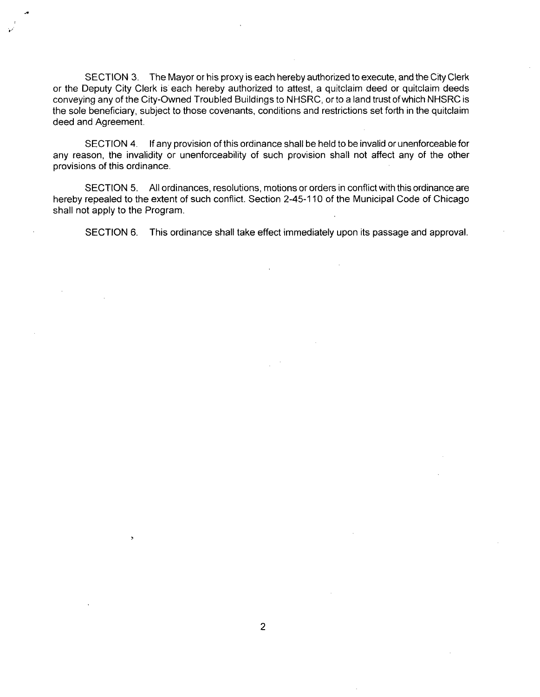SECTION 3. The Mayor or his proxy is each hereby authorized to execute, and the City Clerk or the Deputy City Clerk is each hereby authorized to attest, a quitclaim deed or quitclaim deeds conveying any of the City-Owned Troubled Buildings to NHSRC, or to a land trust of which NHSRC is the sole beneficiary, subject to those covenants, conditions and restrictions set forth in the quitclaim deed and Agreement.

SECTION 4. If any provision of this ordinance shall be held to be invalid or unenforceable for any reason, the invalidity or unenforceability of such provision shall not affect any of the other provisions of this ordinance.

SECTION 5. All ordinances, resolutions, motions or orders in conflict with this ordinance are hereby repealed to the extent of such conflict. Section 2-45-110 of the Municipal Code of Chicago shall not apply to the Program.

SECTION 6. This ordinance shall take effect immediately upon its passage and approval.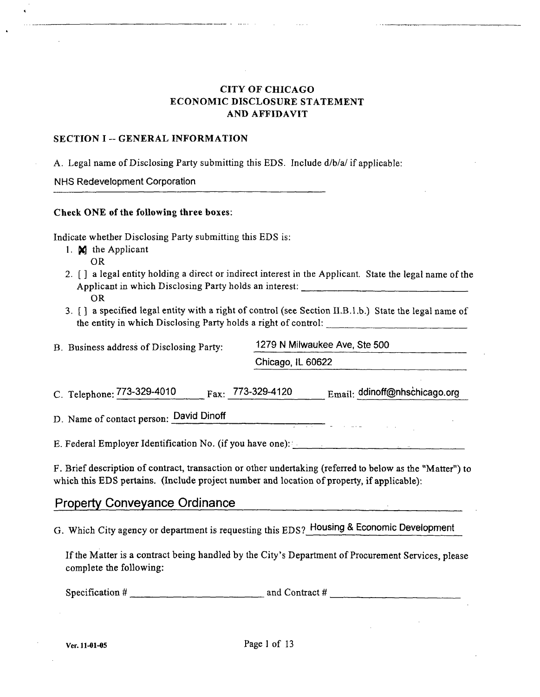## CITY OF CHICAGO ECONOMIC DISCLOSURE STATEMENT AND AFFIDAVIT

#### SECTION I -- GENERAL INFORMATION

A. Legal name of Disclosing Party submitting this EDS. Include d/b/a/if applicable:

NHS Redevelopment Corporation

#### Check ONE of the following three boxes:

Indicate whether Disclosing Party submitting this EDS is:

- 1. M the Applicant OR
- 2. [ ] a legal entity holding a direct or indirect interest in the Applicant. State the legal name of the Applicant in which Disclosing Party holds an interest: OR
- 3. [ ] a specified legal entity with a right of control (see Section II.B.1.b.) State the legal name of the entity in which Disclosing Party holds a right of control:

| B. Business address of Disclosing Party: | 1279 N Milwaukee Ave, Ste 500 |  |
|------------------------------------------|-------------------------------|--|
|                                          | Chicago, IL 60622             |  |

C. Telephone:  $773-329-4010$   $a_{xx}$ :  $773-329-4120$   $E_{\text{mail}}$ : ddinoff@nhschicago.org

D. Name of contact person: David Dinoff

E. Federal Employer Identification No. (if you have one):

F. Brief description of contract, transaction or other undertaking (referred to below as the "Matter") to which this EDS pertains. (Include project number and location of property, if applicable):

الرابل الي الي الي الي الي الي الي<br>الرابل الي الي الي الي الي الي الي

## **Property Conveyance Ordinance**

G. Which City agency or department is requesting this EDS? Housing & Economic Development

If the Matter is a contract being handled by the City's Department of Procurement Services, please complete the following:

Specification # and Contract #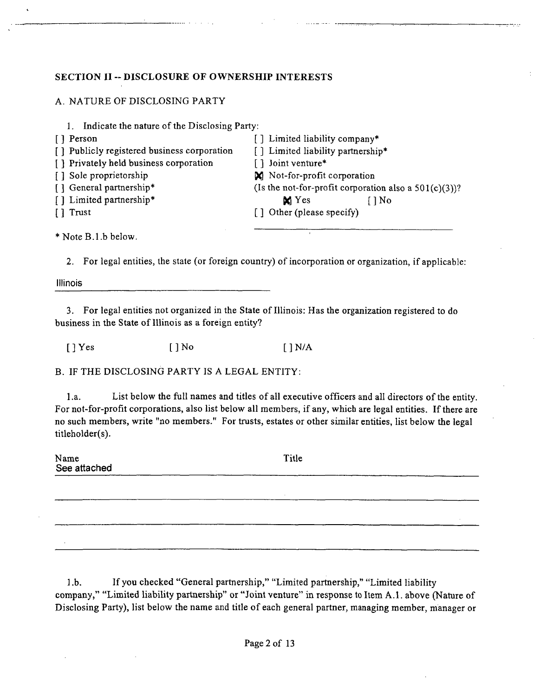## **SECTION II ~ DISCLOSURE OF OWNERSHIP INTERESTS**

## A. NATURE OF DISCLOSING PARTY

| Indicate the nature of the Disclosing Party: |                                                          |
|----------------------------------------------|----------------------------------------------------------|
| [] Person                                    | [] Limited liability company*                            |
| [] Publicly registered business corporation  | [] Limited liability partnership*                        |
| [] Privately held business corporation       | [] Joint venture*                                        |
| [] Sole proprietorship                       | N Not-for-profit corporation                             |
| [ ] General partnership*                     | (Is the not-for-profit corporation also a $501(c)(3)$ )? |
| [] Limited partnership*                      | $\mathbf{M}$ Yes<br>$\bigcap$ No                         |
| [] Trust                                     | [] Other (please specify)                                |
|                                              |                                                          |
|                                              |                                                          |

\* Note B.l .b below.

2. For legal entities, the state (or foreign country) of incorporation or organization, if applicable:

Illinois

3. For legal entities not organized in the State of Illinois: Has the organization registered to do business in the State of Illinois as a foreign entity?

 $[$  ] Yes  $[$  ] No  $[$  ] N/A

B. IF THE DISCLOSING PARTY IS A LEGAL ENTITY:

l.a. List below the full names and titles of all executive officers and all directors ofthe entity. For not-for-profit corporations, also list below all members, if any, which are legal entities. If there are no such members, write "no members." For trusts, estates or other similar entities, list below the legal titleholder(s).

Name See attached **Title** 

1 .b. Ifyou checked "General partnership," "Limited partnership," "Limited liability company," "Limited liability partnership" or "Joint venture" in response to Item A.l . above (Nature of Disclosing Party), list below the name and title of each general partner, managing member, manager or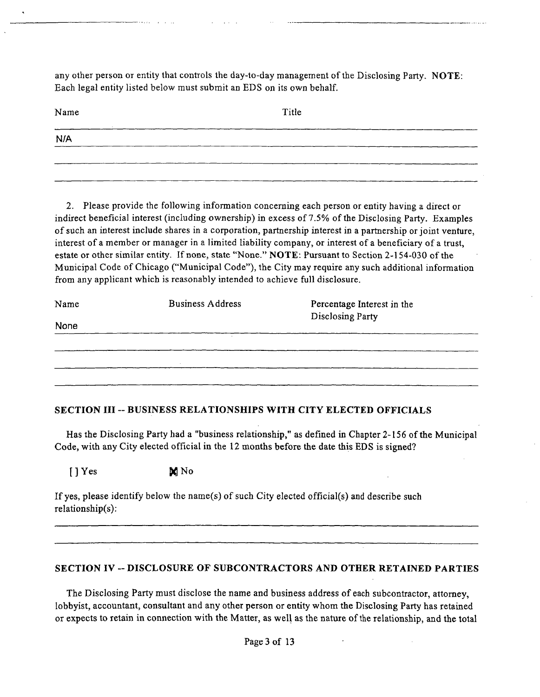any other person or entity that controls the day-to-day management of the Disclosing Party. NOTE: Each legal entity listed below must submit an EDS on its own behalf.

| Name | Title |
|------|-------|
| N/A  |       |
|      |       |

2. Please provide the following information concerning each person or entity having a direct or indirect beneficial interest (including ownership) in excess of 7.5% of the Disclosing Party. Examples of such an interest include shares in a corporation, partnership interest in a partnership or joint venture, interest of a member or manager in a limited liability company, or interest of a beneficiary of a trust, estate or other similar entity. If none, state "None." NOTE: Pursuant to Section 2-154-030 of the Municipal Code of Chicago ("Municipal Code"), the City may require any such additional information from any applicant which is reasonably intended to achieve full disclosure.

| Name | <b>Business Address</b> | Percentage Interest in the<br>Disclosing Party |  |
|------|-------------------------|------------------------------------------------|--|
| None |                         |                                                |  |
|      |                         |                                                |  |
|      | $\sim$                  |                                                |  |
|      |                         |                                                |  |
|      |                         |                                                |  |

## **SECTION III ~ BUSINESS RELATIONSHIPS WITH CITY ELECTED OFFICIALS**

Has the Disclosing Party had a "business relationship," as defined in Chapter 2-156 of the Municipal Code, with any City elected official in the 12 months before the date this EDS is signed?

## $[$  | Yes  $\bowtie$  No

If yes, please identify below the name(s) of such City elected official(s) and describe such relationship(s):

## **SECTION IV ~ DISCLOSURE OF SUBCONTRACTORS AND OTHER RETAINED PARTIES**

The Disclosing Party must disclose the name and business address of each subcontractor, attomey, lobbyist, accountant, consultant and any other person or entity whom the Disclosing Party has retained or expects to retain in connection with the Matter, as well as the nature of the relationship, and the total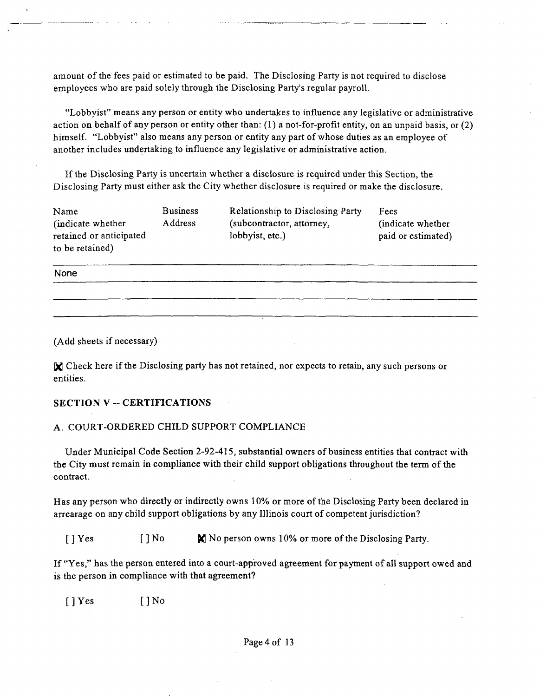amount of the fees paid or estimated to be paid. The Disclosing Party is not required to disclose employees who are paid solely through the Disclosing Party's regular payroll.

"Lobbyist" means any person or entity who undertakes to influence any legislative or administrative action on behalf of any person or entity other than: (1) a not-for-profit entity, on an unpaid basis, or (2) himself. "Lobbyist" also means any person or entity any part of whose duties as an employee of another includes undertaking to influence any legislative or administrative action.

If the Disclosing Party is uncertain whether a disclosure is required under this Section, the Disclosing Party must either ask the City whether disclosure is required or make the disclosure.

| Name                    | <b>Business</b> | <b>Relationship to Disclosing Party</b> | Fees               |
|-------------------------|-----------------|-----------------------------------------|--------------------|
| (indicate whether)      | Address         | (subcontractor, attorney,               | (indicate whether) |
| retained or anticipated |                 | lobbyist, etc.)                         | paid or estimated) |
| to be retained)         |                 |                                         |                    |

None

(Add sheets if necessary)

Check here if the Disclosing party has not retained, nor expects to retain, any such persons or entities.

#### **SECTION V ~ CERTIFICATIONS**

#### A. COURT-ORDERED CHILD SUPPORT COMPLIANCE

Under Municipal Code Section 2-92-415, substantial owners of business entities that contract with the City must remain in compliance with their child support obhgations throughout the term of the contract.

Has any person who directly or indirectly owns 10% or more of the Disclosing Party been declared in arrearage on any child support obligations by any Illinois court of competent jurisdiction?

[ ] Yes [ ] No  $\blacksquare$  No person owns 10% or more of the Disclosing Party.

If "Yes," has the person entered into a court-approved agreement for payment of all support owed and is the person in compliance with that agreement?

 $[$  ] Yes  $[$  ] No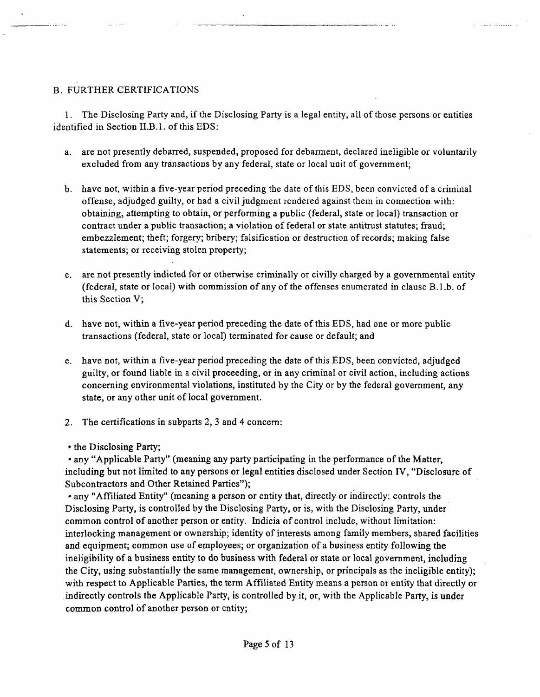## B. FURTHER CERTIFICATIONS

1. The Disclosing Party and, if the Disclosing Party is a legal entity, all of those persons or entities identified in Section II.B.I. of this EDS;

a. are not presently debarred, suspended, proposed for debarment, declared ineligible or voluntarily excluded from any transactions by any federal, state or local unit of govemment;

 $\begin{array}{cccccccccc} . & . & . & . & . & . & . & . & . \end{array}$ 

- b. have not, within a five-year period preceding the date of this EDS, been convicted of a criminal offense, adjudged guilty, or had a civil judgment rendered against them in connection with: obtaining, attempting to obtain, or performing a public (federal, state or local) transaction or contract under a public transaction; a violation of federal or state antitrust statutes; fraud; embezzlement; theft; forgery; bribery; falsification or destruction of records; making false statements; or receiving stolen property;
- c. are not presently indicted for or otherwise criminally or civilly charged by a govemmental entity (federal, state or local) with commission of any of the offenses enumerated in clause B.l.b. of this Section V;
- d. have not, within a five-year period preceding the date of this EDS, had one or more public transactions (federal, state or local) terminated for cause or default; and
- e. have not, within a five-year period preceding the date of this EDS, been convicted, adjudged guilty, or found liable in a civil proceeding, or in any criminal or civil action, including actions conceming environmental violations, instituted by the City or by the federal government, any state, or any other unit of local govemment.
- 2. The certifications in subparts 2, 3 and 4 concem:
- the Disclosing Party;

• any "Applicable Party" (meaning any party participating in the performance of the Matter, including but not limited to any persons or legal entities disclosed under Section IV, "Disclosure of Subcontractors and Other Retained Parties");

• any "Affiliated Entity" (meaning a person or entity that, directly or indirectly: controls the Disclosing Party, is controlled by the Disclosing Party, or is, with the Disclosing Party, under common control of another person or entity. Indicia of control include, without limitation: interlocking management or ownership; identity of interests among family members, shared facilities and equipment; common use of employees; or organization of a business entity following the ineligibility of a business entity to do business with federal or state or local govemment, including the City, using substantially the same management, ownership, or principals as the ineligible entity); with respect to Applicable Parties, the term Affiliated Entity means a person or entity that directly or indirectly controls the Applicable Party, is controlled by it, pr, with the Applicable Party, is under common control of another person or entity;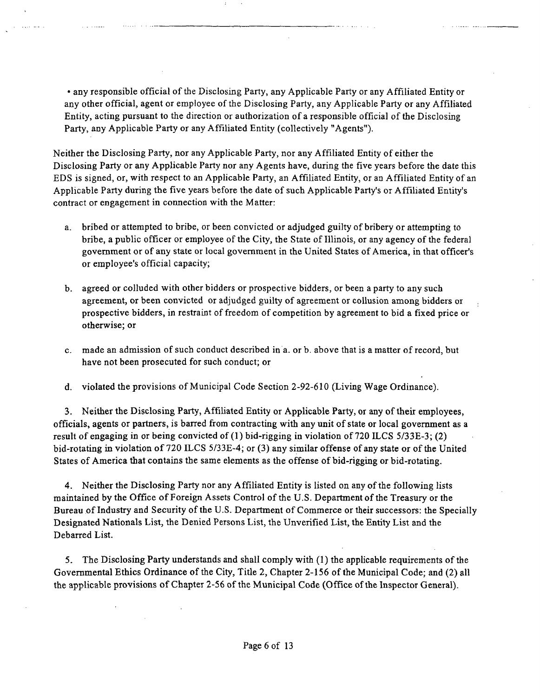• any responsible official of the Disclosing Party, any Applicable Party or any Affiliated Entity or any other official, agent or employee of the Disclosing Party, any Applicable Party or any Affiliated Entity, acting pursuant to the direction or authorization of a responsible official of the Disclosing Party, any Applicable Party or any Affiliated Entity (collectively "Agents").

سووريتها الموصولات

Neither the Disclosing Party, nor any Applicable Party, nor any Affiliated Entity of either the Disclosing Party or any Applicable Party nor any Agents have, during the five years before the date this EDS is signed, or, with respect to an Applicable Party, an Affiliated Entity, or an Affiliated Entity of an Applicable Party during the five years before the date of such Applicable Party's or Affiliated Entity's contract or engagement in connection with the Matter:

- a. bribed or attempted to bribe, or been convicted or adjudged guilty of bribery or attempting to bribe, a public officer or employee of the City, the State of Illinois, or any agency of the federal govemment or of any state or local govemment in the United States of America, in that officer's or employee's official capacity;
- b. agreed or colluded with other bidders or prospective bidders, or been a party to any such agreement, or been convicted or adjudged guilty of agreement or collusion among bidders or prospective bidders, in restraint of freedom of competition by agreement to bid a fixed price or otherwise; or
- c. made an admission of such conduct described in a. or b. above that is a matter of record, but have not been prosecuted for such conduct; or
- d. violated the provisions of Municipal Code Section 2-92-610 (Living Wage Ordinance).

3. Neither the Disclosing Party, Affihated Entity or Applicable Party, or any of their employees, officials, agents or partners, is barred from contracting with any unit of state or local govemment as a result of engaging in or being convicted of (1) bid-rigging in violation of 720 ILCS 5/33E-3; (2) bid-rotating in violation of 720 ILCS 5/33E-4; or (3) any similar offense ofany state or of the United States of America that contains the same elements as the offense of bid-rigging or bid-rotating.

4. Neither the Disclosing Party nor any Affiliated Entity is listed on any of the following lists maintained by the Office of Foreign Assets Control of the U.S. Department of the Treasury or the Bureau of Industry and Security of the U.S. Department of Commerce or their successors: the Specially Designated Nationals List, the Denied Persons List, the Unverified List, the Entity List and the Debarred List.

5. The Disclosing Party understands and shall comply with (1) the applicable requirements of the Governmental Ethics Ordinance of the City, Title 2, Chapter 2-156 of the Municipal Code; and (2) all the applicable provisions of Chapter 2-56 of the Municipal Code (Office ofthe Inspector General).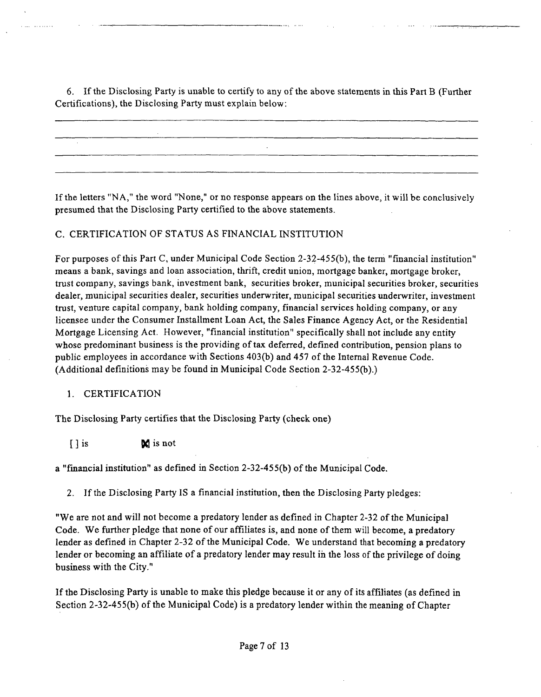6. If the Disclosing Party is unable to certify to any of the above statements in this Part B (Further Certifications), the Disclosing Party must explain below:

If the letters "NA," the word "None," or no response appears on the lines above, it will be conclusively presumed that the Disclosing Party certified to the above statements.

## C. CERTIFICATION OF STATUS AS FINANCIAL INSTITUTION

For purposes of this Part C, under Municipal Code Section 2-32-45 5(b), the term "financial institution" means a bank, savings and loan association, thrift, credit union, mortgage banker, mortgage broker, trust company, savings bank, investment bank, securities broker, municipal securities broker, securities dealer, municipal securities dealer, securities underwriter, municipal securities underwriter, investment trust, venture capital company, bank holding company, financial services holding company, or any licensee under the Consumer Installment Loan Act, the Sales Finance Agency Act, or the Residential Mortgage Licensing Act. However, "fmancial institution" specifically shall not include any entity whose predominant business is the providing of tax deferred, defined contribution, pension plans to public employees in accordance with Sections 403(b) and 457 ofthe Intemal Revenue Code. (Additional definitions may be found in Municipal Code Section 2-32-455(b).)

## 1. CERTIFICATION

The Disclosing Party certifies that the Disclosing Party (check one)

 $\int$   $\int$  is not

a "fmancial institution" as defined in Section 2-32-45 5(b) of the Municipal Code.

2. If the Disclosing Party IS a financial institution, then the Disclosing Party pledges:

"We are not and will not become a predatory lender as defined in Chapter 2-32 of the Municipal Code. We further pledge that none of our affiliates is, and none of them will become, a predatory lender as defined in Chapter 2-32 of the Municipal Code. We understand that becoming a predatory lender or becoming an affiliate of a predatory lender may result in the loss of the privilege of doing business with the City."

If the Disclosing Party is unable to make this pledge because it or any of its affiliates (as defined in Section 2-32-455(b) of the Municipal Code) is a predatory lender within the meaning of Chapter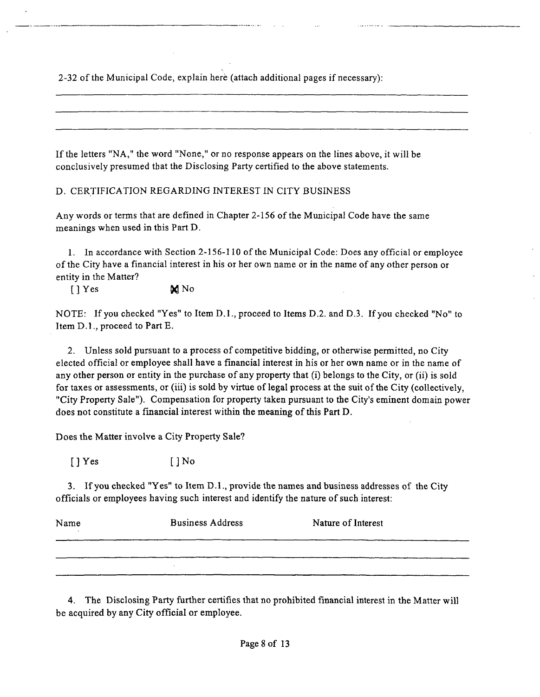2-32 of the Municipal Code, explain here (attach additional pages if necessary):

If the letters "NA," the word "None," or no response appears on the lines above, it will be conclusively presumed that the Disclosing Party certified to the above statements.

D. CERTIFICATION REGARDING INTEREST IN CITY BUSINESS

Any words or terms that are defined in Chapter 2-156 of the Municipal Code have the same meanings when used in this Part D.

1. In accordance with Section 2-156-110 of the Municipal Code: Does any official or employee ofthe City have a financial interest in his or her own name or in the name of any other person or entity in the Matter?

 $[$  ] Yes  $\mathbf{M}$  No

NOTE: If you checked "Yes" to Item D.1., proceed to Items D.2. and D.3. If you checked "No" to Item D.l., proceed to Part E.

2. Unless sold pursuant to a process of competitive bidding, or otherwise permitted, no City elected official or employee shall have a financial interest in his or her own name or in the name of any other person or entity in the purchase of any property that (i) belongs to the City, or (ii) is sold for taxes or assessments, or (iii) is sold by virtue of legal process at the suit of the City (collectively, "City Property Sale"). Compensation for property taken pursuant to the City's eminent domain power does not constitute a financial interest within the meaning of this Part D.

Does the Matter involve a City Property Sale?

 $[$  ] Yes  $[$   $]$  No

3. Ifyou checked "Yes" to Item D.l., provide the names and business addresses of the City officials or employees having such interest and identify the nature of such interest:

| Name | <b>Business Address</b> | Nature of Interest |
|------|-------------------------|--------------------|
|      |                         |                    |
|      |                         |                    |

4. The Disclosing Party further certifies that no prohibited financial interest in the Matter will be acquired by any City official or employee.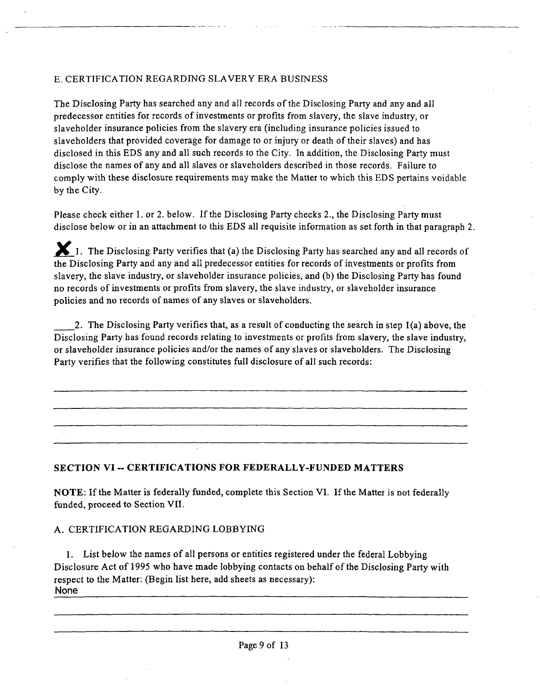## E. CERTIFICATION REGARDING SLAVERY ERA BUSINESS

The Disclosing Party has searched any and all records of the Disclosing Party and any and all predecessor entities for records of investments or profits from slavery, the slave industry, or slaveholder insurance policies from the slavery era (including insurance policies issued to slaveholders that provided coverage for damage to or injury or death of their slaves) and has disclosed in this EDS any and all such records to the City. In. addition, the Disclosing Party must disclose the names ofany and all slaves or slaveholders described in those records. Failure to comply with these disclosure requirements may make the Matter to which this EDS pertains voidable by the City.

Please check either 1. or 2. below. If the Disclosing Party checks 2., the Disclosing Party must disclose below or in an attachment to this EDS all requisite information as set forth in that paragraph 2.

1. The Disclosing Party verifies that (a) the Disclosing Party has searched any and all records of the Disclosing Party and any and all predecessor entities for records of investments or profits from slavery, the slave industry, or slaveholder insurance policies, and (b) the Disclosing Party has found no records of investments or profits from slavery, the slave industry, or slaveholder insurance policies and no records of names of any slaves or slaveholders.

2. The Disclosing Party verifies that, as a result of conducting the search in step 1(a) above, the Disclosing Party has found records relating to investments or profits from slavery, the slave industry, or slaveholder insurance policies and/or the names of any slaves or slaveholders. The Disclosing Party verifies that the following constitutes full disclosure of all such records:

## **SECTION VI - CERTIFICATIONS FOR FEDERALLY-FUNDED MATTERS**

NOTE: If the Matter is federally funded, complete this Section VI. If the Matter is not federally funded, proceed to Section VIL

## A. CERTIFICATION REGARDING LOBBYING

1. List below the names of all persons or entities registered under the federal Lobbying Disclosure Act of 1995 who have made lobbying contacts on behalf of the Disclosing Party with respect to the Matter: (Begin list here, add sheets as necessary): None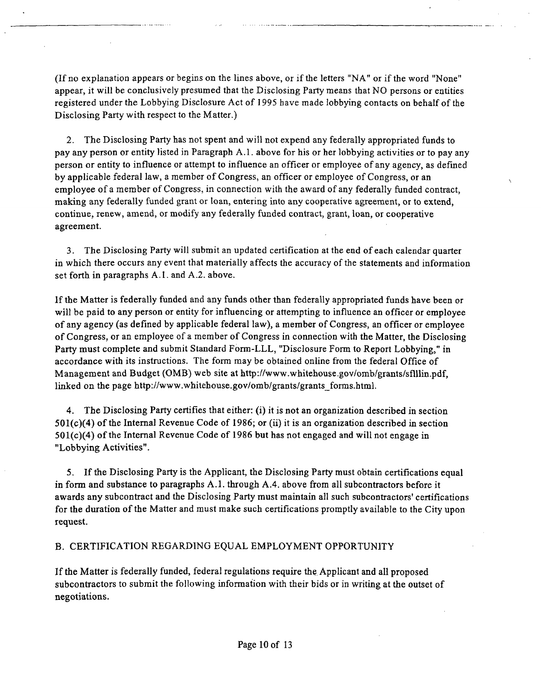(If no explanation appears or begins on the lines above, or if the letters "NA" or if the word "None" appear, it will be conclusively presumed that the Disclosing Party means that NO persons or entities registered under the Lobbying Disclosure Act of 1995 have made lobbying contacts on behalf of the Disclosing Party with respect to the Matter.)

2. The Disclosing Party has not spent and will not expend any federally appropriated funds to pay any person or entity listed in Paragraph A.l . above for his or her lobbying activities or to pay any person or entity to influence or attempt to influence an officer or employee of any agency, as defined by applicable federal law, a member of Congress, an officer or employee of Congress, or an employee of a member of Congress, in connection with the award of any federally funded contract, making any federally funded grant or loan, entering into any cooperative agreement, or to extend, continue, renew, amend, or modify any federally funded contract, grant, loan, or cooperative agreement.

3. The Disclosing Party will submit an updated certification at the end of each calendar quarter in which there occurs any event that materially affects the accuracy of the statements and information set forth in paragraphs A.l . and A.2. above.

If the Matter is federally funded and any funds other than federally appropriated funds have been or will be paid to any person or entity for influencing or attempting to influence an officer or employee of any agency (as defined by applicable federal law), a member of Congress, an officer or employee of Congress, or an employee of a member of Congress in connection with the Matter, the Disclosing Party must complete and submit Standard Form-LLL, "Disclosure Form to Report Lobbying," in accordance with its instructions. The form may be obtained online from the federal Office of Management and Budget (OMB) web site at http://www.whitehouse.gov/omb/grants/sflllin.pdf, linked on the page http://www.whitehouse.gov/omb/grants/grants\_forms.html.

4. The Disclosing Party certifies that either: (i) it is not an organization described in section 501(c)(4) of the Intemal Revenue Code of 1986; or (ii) it is an organization described in section  $501(c)(4)$  of the Internal Revenue Code of 1986 but has not engaged and will not engage in "Lobbying Activities".

5. If the Disclosing Party is the Applicant, the Disclosing Party must obtain certifications equal in form and substance to paragraphs A.l . through A.4. above from all subcontractors before it awards any subcontract and the Disclosing Party must maintain all such subcontractors' certifications for the duration of the Matter and must make such certifications promptly available to the City upon request.

## B. CERTIFICATION REGARDING EQUAL EMPLOYMENT OPPORTUNITY

If the Matter is federally funded, federal regulations require the Apphcant and all proposed subcontractors to submit the following information with their bids or in writing at the outset of negotiations.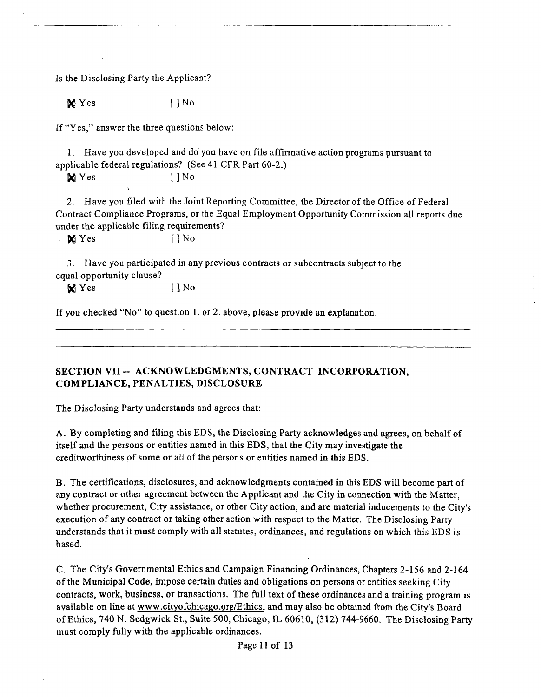Is the Disclosing Party the Applicant?

 $\mathbb{X}$  Yes []No

If "Yes," answer the three questions below:

1. Have you developed and do you have on file affirmative action programs pursuant to applicable federal regulations? (See 41 CFR Part 60-2.)

**M** Yes [] No

2. Have you filed with the Joint Reporting Committee, the Director of the Office of Federal Contract Compliance Programs, or the Equal Employment Opportunity Commission all reports due under the applicable filing requirements?

 $\bowtie$  Yes []No

3. Have you participated in any previous contracts or subcontracts subject to the equal opportunity clause?

 $\bowtie$  Yes [ ] No

If you checked "No" to question 1. or 2. above, please provide an explanation;

## SECTION VII ~ ACKNOWLEDGMENTS, CONTRACT INCORPORATION, COMPLIANCE, PENALTIES, DISCLOSURE

The Disclosing Party understands and agrees that:

A. By completing and filing this EDS, the Disclosing Party acknowledges and agrees, on behalf of itself and the persons or entities named in this EDS, that the City may investigate the creditworthiness of some or all of the persons or entities named in this EDS.

B. The certifications, disclosures, and acknowledgments contained in this EDS will become part of any contract or other agreement between the Applicant and the City in connection with the Matter, whether procurement. City assistance, or other City action, and are material inducements to the City's execution of any contract or taking other action with respect to the Matter. The Disclosing Party understands that it must comply with all statutes, ordinances, and regulations on which this EDS is based.

C. The City's Govemmental Ethics and Campaign Financing Ordinances, Chapters 2-156 and 2-164 of the Municipal Code, impose certain duties and obligations on persons or entities seeking City contracts, work, business, or transactions. The full text of these ordinances and a training program is available on line at www.cityofchicago.org/Ethics, and may also be obtained from the City's Board of Ethics, 740 N. Sedgwick St., Suite 500, Chicago, IL 60610, (312) 744-9660. The Disclosing Party must comply fully with the applicable ordinances.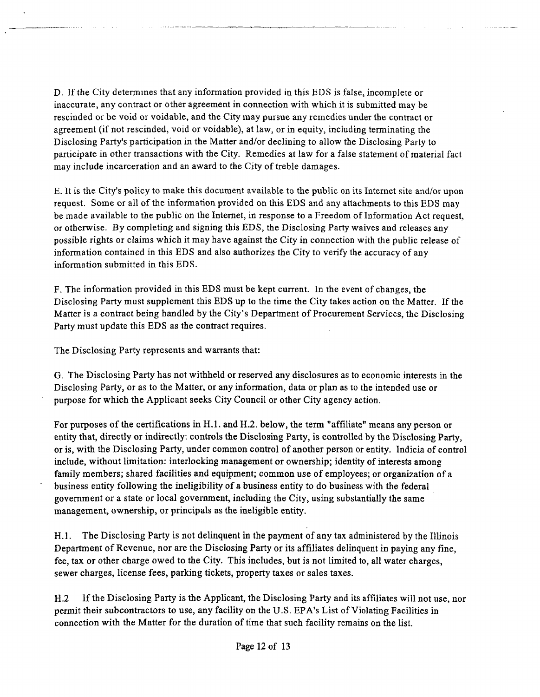D. If the City determines that any information provided in this EDS is false, incomplete or inaccurate, any contract or other agreement in connection with which it is submitted may be rescinded or be void or voidable, and the City may pursue any remedies under the contract or agreement (if not rescinded, void or voidable), at law, or in equity, including terminating the Disclosing Party's participation in the Matter and/or declining to allow the Disclosing Party to participate in other transactions with the City. Remedies at law for a false statement of material fact may include incarceration and an award to the City of treble damages.

E. It is the City's policy to make this document available to the public on its Internet site and/or upon request. Some or all of the information provided on this EDS and any attachments to this EDS may be made available to the public on the Intemet, in response to a Freedom of Information Act request, or otherwise. By completing and signing this EDS, the Disclosing Party waives and releases any possible rights or claims which it may have against the City in connection with the public release of information contained in this EDS and also authorizes the City to verify the accuracy of any information submitted in this EDS.

F. The information provided in this EDS must be kept current. In the event of changes, the Disclosing Party must supplement this EDS up to the time the City takes action on the Matter. If the Matter is a contract being handled by the City's Department of Procurement Services, the Disclosing Party must update this EDS as the contract requires.

The Disclosing Party represents and warrants that:

G. The Disclosing Party has not withheld or reserved any disclosures as to economic interests in the Disclosing Party, or as to the Matter, or any information, data or plan as to the intended use or purpose for which the Applicant seeks City Council or other City agency action.

For purposes of the certifications in H.l. and H.2. below, the term "affiliate" means any person or entity that, directly or indirectly: controls the Disclosing Party, is controlled by the Disclosing Party, or is, with the Disclosing Party, under common control of another person or entity. Indicia of control include, without limitation: interlocking management or ownership; identity of interests among family members; shared facilities and equipment; common use of employees; or organization of a business entity following the ineligibility of a business entity to do business with the federal govemment or a state or local govemment, including the City, using substantially the same management, ownership, or principals as the ineligible entity.

H.1. The Disclosing Party is not delinquent in the payment of any tax administered by the Illinois Department of Revenue, nor are the Disclosing Party or its affihates delinquent in paying any fine, fee, tax or other charge owed to the City. This includes, but is not limited to, all water charges, sewer charges, license fees, parking tickets, property taxes or sales taxes.

H.2 If the Disclosing Party is the Apphcant, the Disclosing Party and its affiliates will not use, nor permit their subcontractors to use, any facility on the U.S. EPA's List of Violating Facilities in connection with the Matter for the duration of time that such facility remains on the list.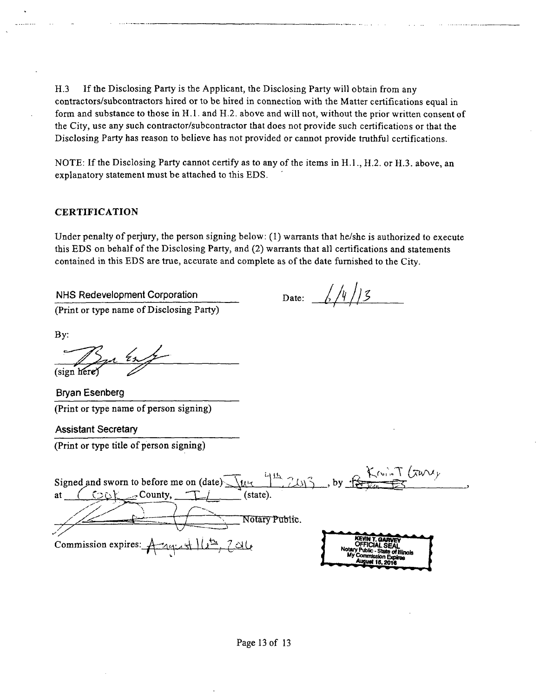H.3 If the Disclosing Party is the Applicant, the Disclosing Party will obtain from any contractors/subcontractors hired or to be hired in connection with the Matter certifications equal in form and substance to those in H.l. and H.2. above and will not, without the prior written consent of the City, use any such contractor/subcontractor that does not provide such certifications or that the Disclosing Party has reason to believe has not provided or cannot provide truthful certifications.

NOTE: If the Disclosing Party cannot certify as to any of the items in H.l., H.2. or H.3. above, an explanatory statement must be attached to this EDS.

### CERTIFICATION

Under penalty of perjury, the person signing below: (1) warrants that he/she is authorized to execute this EDS on behalf of the Disclosing Party, and (2) warrants that all certifications and statements contained in this EDS are tme, accurate and complete as ofthe date fumished to the City.

NHS Redevelopment Corporation (Print or type name of Disclosing Party)

Date:  $\frac{1}{2}$ /4/13

By:

(sign here)

Bryan Esenberg (Print or type name of person signing)

Assistant Secretary

(Print or type title of person signing)

Signed and sworn to before me on (date)  $\left\{\mathcal{U}_k \in \mathbb{R}^3 \times \mathbb{R}^3 \right\}$ , by at  $(\bigcirc_{\mathbb{Q}})$  County,  $\bigcirc_{\mathbb{Z}}$  (state).  $Commission$  expires:  $A$ - $_{44}$ .  $\pm$  ) ( $\pm$ ,  $7$  ale Notary Public.